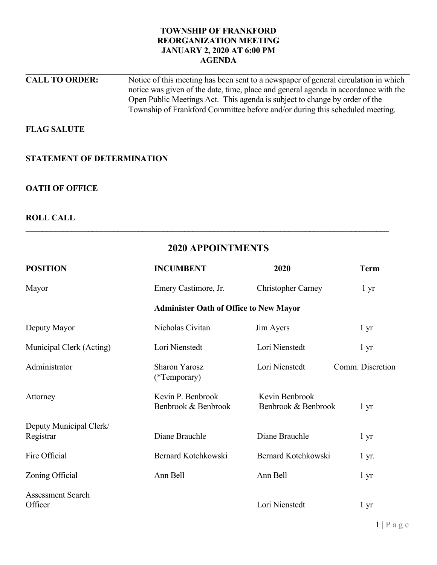### **JANUARY 2, 2020 AT 6:00 PM TOWNSHIP OF FRANKFORD REORGANIZATION MEETING AGENDA**

 $\mathcal{L}_\mathcal{L} = \{ \mathcal{L}_\mathcal{L} = \{ \mathcal{L}_\mathcal{L} = \{ \mathcal{L}_\mathcal{L} = \{ \mathcal{L}_\mathcal{L} = \{ \mathcal{L}_\mathcal{L} = \{ \mathcal{L}_\mathcal{L} = \{ \mathcal{L}_\mathcal{L} = \{ \mathcal{L}_\mathcal{L} = \{ \mathcal{L}_\mathcal{L} = \{ \mathcal{L}_\mathcal{L} = \{ \mathcal{L}_\mathcal{L} = \{ \mathcal{L}_\mathcal{L} = \{ \mathcal{L}_\mathcal{L} = \{ \mathcal{L}_\mathcal{$ 

 Township of Frankford Committee before and/or during this scheduled meeting. **CALL TO ORDER:** Notice of this meeting has been sent to a newspaper of general circulation in which notice was given of the date, time, place and general agenda in accordance with the Open Public Meetings Act. This agenda is subject to change by order of the

**FLAG SALUTE** 

## **STATEMENT OF DETERMINATION**

# **OATH OF OFFICE ROLL CALL**

**\_\_\_\_\_\_\_\_\_\_\_\_\_\_\_\_\_\_\_\_\_\_\_\_\_\_\_\_\_\_\_\_\_\_\_\_\_\_\_\_\_\_\_\_\_\_\_\_\_\_\_\_\_\_\_\_\_\_\_\_\_\_\_\_\_\_\_\_\_\_\_\_\_\_\_\_\_\_\_\_\_\_\_\_\_\_\_** 

| <b>POSITION</b>                      | <b>INCUMBENT</b>                              | 2020                                  | <b>Term</b>      |  |
|--------------------------------------|-----------------------------------------------|---------------------------------------|------------------|--|
| Mayor                                | Emery Castimore, Jr.                          | <b>Christopher Carney</b>             | $1 \, yr$        |  |
|                                      | <b>Administer Oath of Office to New Mayor</b> |                                       |                  |  |
| Deputy Mayor                         | Nicholas Civitan                              | Jim Ayers                             | $1 \, yr$        |  |
| Municipal Clerk (Acting)             | Lori Nienstedt                                | Lori Nienstedt                        | $1 \, yr$        |  |
| Administrator                        | <b>Sharon Yarosz</b><br>(*Temporary)          | Lori Nienstedt                        | Comm. Discretion |  |
| Attorney                             | Kevin P. Benbrook<br>Benbrook & Benbrook      | Kevin Benbrook<br>Benbrook & Benbrook | $1 \, yr$        |  |
| Deputy Municipal Clerk/<br>Registrar | Diane Brauchle                                | Diane Brauchle                        | $1 \, yr$        |  |
| Fire Official                        | Bernard Kotchkowski                           | Bernard Kotchkowski                   | $1 \, yr.$       |  |
| Zoning Official                      | Ann Bell                                      | Ann Bell                              | $1 \, yr$        |  |
| <b>Assessment Search</b><br>Officer  |                                               | Lori Nienstedt                        | $1 \, yr$        |  |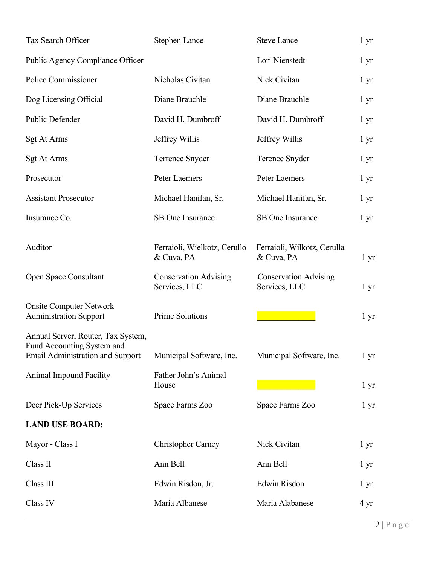| Tax Search Officer                                                                                          | <b>Stephen Lance</b>                          | <b>Steve Lance</b>                            | $1 \, yr$       |
|-------------------------------------------------------------------------------------------------------------|-----------------------------------------------|-----------------------------------------------|-----------------|
| Public Agency Compliance Officer                                                                            |                                               | Lori Nienstedt                                | 1 <sub>yr</sub> |
| Police Commissioner                                                                                         | Nicholas Civitan                              | Nick Civitan                                  | $1 \, yr$       |
| Dog Licensing Official                                                                                      | Diane Brauchle                                | Diane Brauchle                                | $1 \, yr$       |
| <b>Public Defender</b>                                                                                      | David H. Dumbroff                             | David H. Dumbroff                             | 1 <sub>yr</sub> |
| Sgt At Arms                                                                                                 | Jeffrey Willis                                | Jeffrey Willis                                | 1 <sub>yr</sub> |
| Sgt At Arms                                                                                                 | Terrence Snyder                               | Terence Snyder                                | $1 \mathrm{yr}$ |
| Prosecutor                                                                                                  | Peter Laemers                                 | Peter Laemers                                 | 1 <sub>yr</sub> |
| <b>Assistant Prosecutor</b>                                                                                 | Michael Hanifan, Sr.                          | Michael Hanifan, Sr.                          | $1 \, yr$       |
| Insurance Co.                                                                                               | SB One Insurance                              | SB One Insurance                              | 1 <sub>yr</sub> |
| Auditor                                                                                                     | Ferraioli, Wielkotz, Cerullo<br>& Cuva, PA    | Ferraioli, Wilkotz, Cerulla<br>& Cuva, PA     | 1 <sub>yr</sub> |
| Open Space Consultant                                                                                       | <b>Conservation Advising</b><br>Services, LLC | <b>Conservation Advising</b><br>Services, LLC | 1 <sub>yr</sub> |
| <b>Onsite Computer Network</b><br><b>Administration Support</b>                                             | <b>Prime Solutions</b>                        |                                               | 1 <sub>yr</sub> |
| Annual Server, Router, Tax System,<br>Fund Accounting System and<br><b>Email Administration and Support</b> | Municipal Software, Inc.                      | Municipal Software, Inc.                      | 1 yr            |
| Animal Impound Facility                                                                                     | Father John's Animal<br>House                 |                                               | 1 <sub>yr</sub> |
| Deer Pick-Up Services                                                                                       | Space Farms Zoo                               | Space Farms Zoo                               | 1 <sub>yr</sub> |
| <b>LAND USE BOARD:</b>                                                                                      |                                               |                                               |                 |
| Mayor - Class I                                                                                             | <b>Christopher Carney</b>                     | Nick Civitan                                  | 1 <sub>yr</sub> |
| Class II                                                                                                    | Ann Bell                                      | Ann Bell                                      | 1 <sub>yr</sub> |
| Class III                                                                                                   | Edwin Risdon, Jr.                             | Edwin Risdon                                  | 1 <sub>yr</sub> |
| Class IV                                                                                                    | Maria Albanese                                | Maria Alabanese                               | 4 yr            |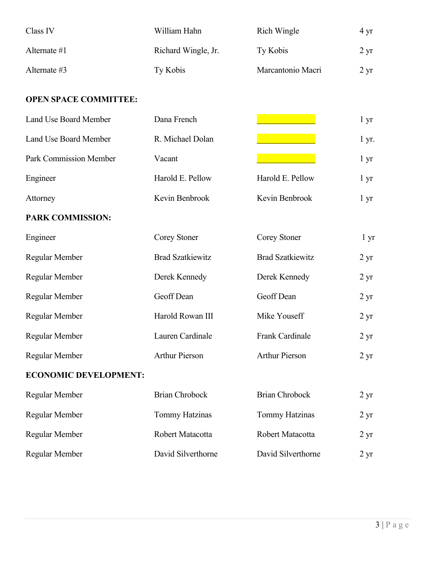| Class IV                      | William Hahn            | <b>Rich Wingle</b>      | $4 \text{ yr}$    |
|-------------------------------|-------------------------|-------------------------|-------------------|
| Alternate #1                  | Richard Wingle, Jr.     | Ty Kobis                | $2 \,\mathrm{yr}$ |
| Alternate #3                  | Ty Kobis                | Marcantonio Macri       | $2 \, yr$         |
| <b>OPEN SPACE COMMITTEE:</b>  |                         |                         |                   |
| <b>Land Use Board Member</b>  | Dana French             |                         | 1 <sub>yr</sub>   |
| Land Use Board Member         | R. Michael Dolan        |                         | $1 \, yr.$        |
| <b>Park Commission Member</b> | Vacant                  |                         | 1 <sub>yr</sub>   |
| Engineer                      | Harold E. Pellow        | Harold E. Pellow        | 1 <sub>yr</sub>   |
| Attorney                      | Kevin Benbrook          | Kevin Benbrook          | $1 \, yr$         |
| <b>PARK COMMISSION:</b>       |                         |                         |                   |
| Engineer                      | Corey Stoner            | Corey Stoner            | 1 <sub>yr</sub>   |
| Regular Member                | <b>Brad Szatkiewitz</b> | <b>Brad Szatkiewitz</b> | $2 \,\mathrm{yr}$ |
| Regular Member                | Derek Kennedy           | Derek Kennedy           | $2 \,\mathrm{yr}$ |
| Regular Member                | Geoff Dean              | Geoff Dean              | $2 \text{ yr}$    |
| Regular Member                | Harold Rowan III        | Mike Youseff            | $2 \,\mathrm{yr}$ |
| Regular Member                | Lauren Cardinale        | <b>Frank Cardinale</b>  | $2 \text{ yr}$    |
| Regular Member                | <b>Arthur Pierson</b>   | <b>Arthur Pierson</b>   | $2 \, yr$         |
| <b>ECONOMIC DEVELOPMENT:</b>  |                         |                         |                   |
| Regular Member                | <b>Brian Chrobock</b>   | <b>Brian Chrobock</b>   | $2 \, yr$         |
| Regular Member                | <b>Tommy Hatzinas</b>   | <b>Tommy Hatzinas</b>   | $2 \,\mathrm{yr}$ |
| Regular Member                | Robert Matacotta        | Robert Matacotta        | $2 \text{ yr}$    |
| Regular Member                | David Silverthorne      | David Silverthorne      | $2 \,\mathrm{yr}$ |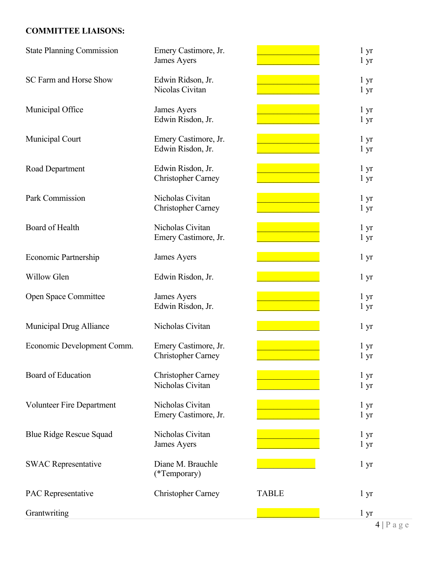## **COMMITTEE LIAISONS:**

| <b>State Planning Commission</b> | Emery Castimore, Jr.<br>James Ayers               |              | $1 \, yr$<br>1 yr                    |
|----------------------------------|---------------------------------------------------|--------------|--------------------------------------|
| SC Farm and Horse Show           | Edwin Ridson, Jr.<br>Nicolas Civitan              |              | $1 \, yr$<br>1 <sub>yr</sub>         |
| Municipal Office                 | James Ayers<br>Edwin Risdon, Jr.                  |              | $1 \, yr$<br>1 <sub>yr</sub>         |
| Municipal Court                  | Emery Castimore, Jr.<br>Edwin Risdon, Jr.         |              | $1 \, yr$<br>1 <sub>yr</sub>         |
| Road Department                  | Edwin Risdon, Jr.<br><b>Christopher Carney</b>    |              | $1 \, yr$<br>1 <sub>yr</sub>         |
| Park Commission                  | Nicholas Civitan<br><b>Christopher Carney</b>     |              | $1 \, yr$<br>$1 \, yr$               |
| Board of Health                  | Nicholas Civitan<br>Emery Castimore, Jr.          |              | $1 \, yr$<br>1 <sub>yr</sub>         |
| Economic Partnership             | James Ayers                                       |              | 1 <sub>yr</sub>                      |
| Willow Glen                      | Edwin Risdon, Jr.                                 |              | 1 yr                                 |
| Open Space Committee             | James Ayers<br>Edwin Risdon, Jr.                  |              | $1 \, yr$<br>1 yr                    |
| Municipal Drug Alliance          | Nicholas Civitan                                  |              | 1 <sub>yr</sub>                      |
| Economic Development Comm.       | Emery Castimore, Jr.<br><b>Christopher Carney</b> |              | $1 \,\mathrm{yr}$<br>1 yr            |
| Board of Education               | <b>Christopher Carney</b><br>Nicholas Civitan     |              | $1 \, yr$<br>1 <sub>yr</sub>         |
| <b>Volunteer Fire Department</b> | Nicholas Civitan<br>Emery Castimore, Jr.          |              | $1 \,\mathrm{yr}$<br>1 <sub>yr</sub> |
| <b>Blue Ridge Rescue Squad</b>   | Nicholas Civitan<br>James Ayers                   |              | $1 \, yr$<br>$1 \,\mathrm{yr}$       |
| <b>SWAC Representative</b>       | Diane M. Brauchle<br>(*Temporary)                 |              | $1 \, yr$                            |
| <b>PAC</b> Representative        | <b>Christopher Carney</b>                         | <b>TABLE</b> | $1 \, yr$                            |
| Grantwriting                     |                                                   |              | 1 <sub>yr</sub>                      |